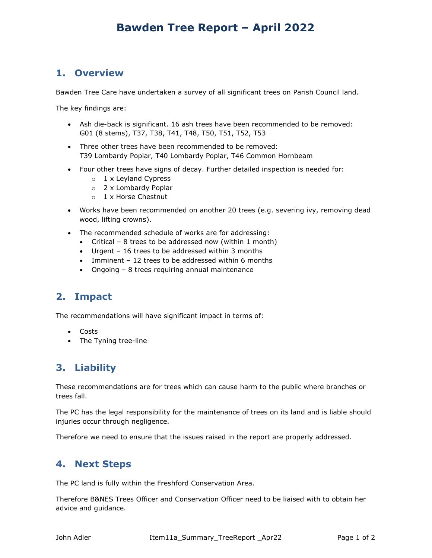# Bawden Tree Report – April 2022

#### 1. Overview

Bawden Tree Care have undertaken a survey of all significant trees on Parish Council land.

The key findings are:

- Ash die-back is significant. 16 ash trees have been recommended to be removed: G01 (8 stems), T37, T38, T41, T48, T50, T51, T52, T53
- Three other trees have been recommended to be removed: T39 Lombardy Poplar, T40 Lombardy Poplar, T46 Common Hornbeam
- Four other trees have signs of decay. Further detailed inspection is needed for:
	- o 1 x Leyland Cypress
	- o 2 x Lombardy Poplar
	- o 1 x Horse Chestnut
- Works have been recommended on another 20 trees (e.g. severing ivy, removing dead wood, lifting crowns).
- The recommended schedule of works are for addressing:
	- Critical 8 trees to be addressed now (within 1 month)
	- Urgent 16 trees to be addressed within 3 months
	- Imminent 12 trees to be addressed within 6 months
	- Ongoing 8 trees requiring annual maintenance

#### 2. Impact

The recommendations will have significant impact in terms of:

- Costs
- The Tyning tree-line

### 3. Liability

These recommendations are for trees which can cause harm to the public where branches or trees fall.

The PC has the legal responsibility for the maintenance of trees on its land and is liable should injuries occur through negligence.

Therefore we need to ensure that the issues raised in the report are properly addressed.

### 4. Next Steps

The PC land is fully within the Freshford Conservation Area.

Therefore B&NES Trees Officer and Conservation Officer need to be liaised with to obtain her advice and guidance.